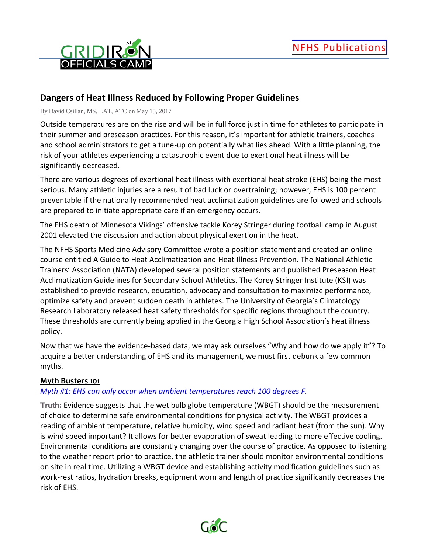

# **Dangers of Heat Illness Reduced by Following Proper Guidelines**

By David Csillan, MS, LAT, ATC on May 15, 2017

Outside temperatures are on the rise and will be in full force just in time for athletes to participate in their summer and preseason practices. For this reason, it's important for athletic trainers, coaches and school administrators to get a tune-up on potentially what lies ahead. With a little planning, the risk of your athletes experiencing a catastrophic event due to exertional heat illness will be significantly decreased.

There are various degrees of exertional heat illness with exertional heat stroke (EHS) being the most serious. Many athletic injuries are a result of bad luck or overtraining; however, EHS is 100 percent preventable if the nationally recommended heat acclimatization guidelines are followed and schools are prepared to initiate appropriate care if an emergency occurs.

The EHS death of Minnesota Vikings' offensive tackle Korey Stringer during football camp in August 2001 elevated the discussion and action about physical exertion in the heat.

The NFHS Sports Medicine Advisory Committee wrote a position statement and created an online course entitled A Guide to Heat Acclimatization and Heat Illness Prevention. The National Athletic Trainers' Association (NATA) developed several position statements and published Preseason Heat Acclimatization Guidelines for Secondary School Athletics. The Korey Stringer Institute (KSI) was established to provide research, education, advocacy and consultation to maximize performance, optimize safety and prevent sudden death in athletes. The University of Georgia's Climatology Research Laboratory released heat safety thresholds for specific regions throughout the country. These thresholds are currently being applied in the Georgia High School Association's heat illness policy.

Now that we have the evidence-based data, we may ask ourselves "Why and how do we apply it"? To acquire a better understanding of EHS and its management, we must first debunk a few common myths.

### **Myth Busters 101**

### *Myth #1: EHS can only occur when ambient temperatures reach 100 degrees F.*

*Truth:* Evidence suggests that the wet bulb globe temperature (WBGT) should be the measurement of choice to determine safe environmental conditions for physical activity. The WBGT provides a reading of ambient temperature, relative humidity, wind speed and radiant heat (from the sun). Why is wind speed important? It allows for better evaporation of sweat leading to more effective cooling. Environmental conditions are constantly changing over the course of practice. As opposed to listening to the weather report prior to practice, the athletic trainer should monitor environmental conditions on site in real time. Utilizing a WBGT device and establishing activity modification guidelines such as work-rest ratios, hydration breaks, equipment worn and length of practice significantly decreases the risk of EHS.

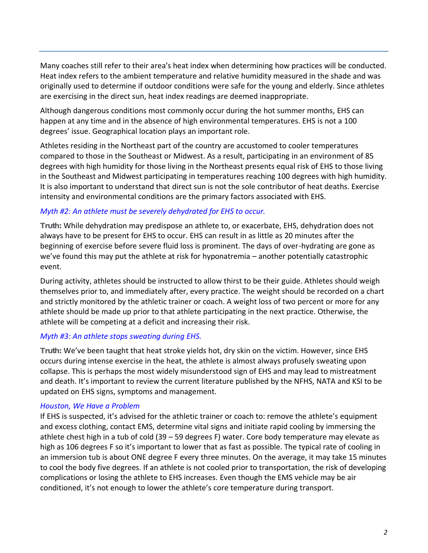Many coaches still refer to their area's heat index when determining how practices will be conducted. Heat index refers to the ambient temperature and relative humidity measured in the shade and was originally used to determine if outdoor conditions were safe for the young and elderly. Since athletes are exercising in the direct sun, heat index readings are deemed inappropriate.

Although dangerous conditions most commonly occur during the hot summer months, EHS can happen at any time and in the absence of high environmental temperatures. EHS is not a 100 degrees' issue. Geographical location plays an important role.

Athletes residing in the Northeast part of the country are accustomed to cooler temperatures compared to those in the Southeast or Midwest. As a result, participating in an environment of 85 degrees with high humidity for those living in the Northeast presents equal risk of EHS to those living in the Southeast and Midwest participating in temperatures reaching 100 degrees with high humidity. It is also important to understand that direct sun is not the sole contributor of heat deaths. Exercise intensity and environmental conditions are the primary factors associated with EHS.

### *Myth #2: An athlete must be severely dehydrated for EHS to occur.*

*Truth:* While dehydration may predispose an athlete to, or exacerbate, EHS, dehydration does not always have to be present for EHS to occur. EHS can result in as little as 20 minutes after the beginning of exercise before severe fluid loss is prominent. The days of over-hydrating are gone as we've found this may put the athlete at risk for hyponatremia – another potentially catastrophic event.

During activity, athletes should be instructed to allow thirst to be their guide. Athletes should weigh themselves prior to, and immediately after, every practice. The weight should be recorded on a chart and strictly monitored by the athletic trainer or coach. A weight loss of two percent or more for any athlete should be made up prior to that athlete participating in the next practice. Otherwise, the athlete will be competing at a deficit and increasing their risk.

## *Myth #3: An athlete stops sweating during EHS.*

*Truth:* We've been taught that heat stroke yields hot, dry skin on the victim. However, since EHS occurs during intense exercise in the heat, the athlete is almost always profusely sweating upon collapse. This is perhaps the most widely misunderstood sign of EHS and may lead to mistreatment and death. It's important to review the current literature published by the NFHS, NATA and KSI to be updated on EHS signs, symptoms and management.

### *Houston, We Have a Problem*

If EHS is suspected, it's advised for the athletic trainer or coach to: remove the athlete's equipment and excess clothing, contact EMS, determine vital signs and initiate rapid cooling by immersing the athlete chest high in a tub of cold (39 – 59 degrees F) water. Core body temperature may elevate as high as 106 degrees F so it's important to lower that as fast as possible. The typical rate of cooling in an immersion tub is about ONE degree F every three minutes. On the average, it may take 15 minutes to cool the body five degrees. If an athlete is not cooled prior to transportation, the risk of developing complications or losing the athlete to EHS increases. Even though the EMS vehicle may be air conditioned, it's not enough to lower the athlete's core temperature during transport.